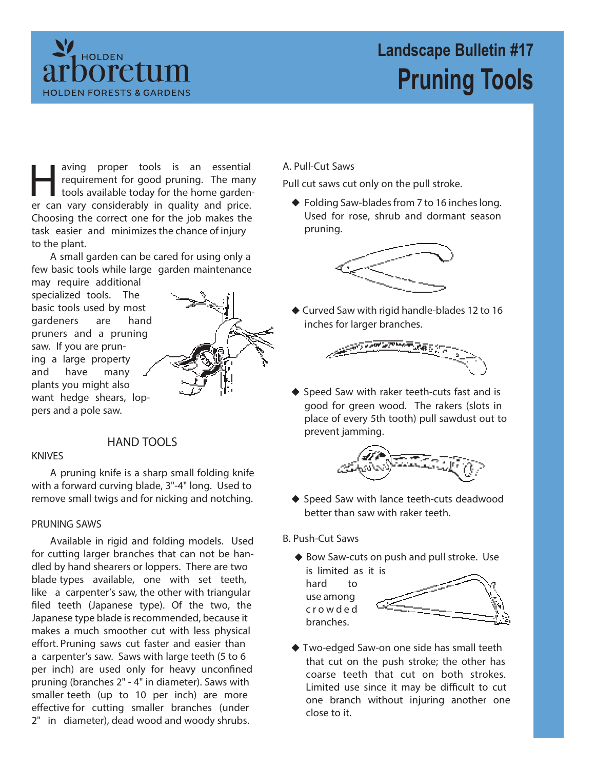

# **Landscape Bulletin #17 Pruning Tools**

aving proper tools is an essential requirement for good pruning. The man tools available today for the home garden er can vary considerably in quality and price. aving proper tools is an essential requirement for good pruning. The many tools available today for the home garden-Choosing the correct one for the job makes the task easier and minimizes the chance of injury to the plant.

A small garden can be cared for using only a few basic tools while large garden maintenance

may require additional specialized tools. The basic tools used by most gardeners are hand pruners and a pruning saw. If you are pruning a large property and have many plants you might also want hedge shears, loppers and a pole saw.

**HAND TOOLS**

### **KNIVES**

A pruning knife is a sharp small folding knife with a forward curving blade, 3"-4" long. Used to remove small twigs and for nicking and notching.

#### **PRUNING SAWS**

Available in rigid and folding models. Used for cutting larger branches that can not be handled by hand shearers or loppers. There are two blade types available, one with set teeth, like a carpenter's saw, the other with triangular filed teeth (Japanese type). Of the two, the Japanese type blade is recommended, because it makes a much smoother cut with less physical effort. Pruning saws cut faster and easier than a carpenter's saw. Saws with large teeth (5 to 6 per inch) are used only for heavy unconfined pruning (branches 2" - 4" in diameter). Saws with smaller teeth (up to 10 per inch) are more effective for cutting smaller branches (under 2" in diameter), dead wood and woody shrubs.

**A. Pull-Cut Saws** 

Pull cut saws cut only on the pull stroke.

◆ Folding Saw-blades from 7 to 16 inches long. Used for rose, shrub and dormant season pruning.



Curved Saw with rigid handle-blades 12 to 16 inches for larger branches.



Speed Saw with raker teeth-cuts fast and is good for green wood. The rakers (slots in place of every 5th tooth) pull sawdust out to prevent jamming.



- ◆ Speed Saw with lance teeth-cuts deadwood better than saw with raker teeth.
- **B. Push-Cut Saws**
	- ◆ Bow Saw-cuts on push and pull stroke. Use is limited as it is
		- hard to use among crowde d branches.



Two-edged Saw-on one side has small teeth that cut on the push stroke; the other has coarse teeth that cut on both strokes. Limited use since it may be difficult to cut one branch without injuring another one close to it.